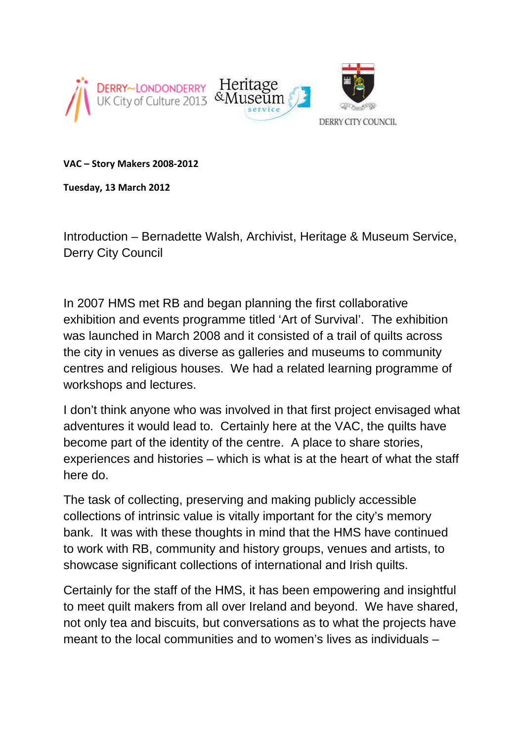

**VAC – Story Makers 2008-2012** 

**Tuesday, 13 March 2012** 

Introduction – Bernadette Walsh, Archivist, Heritage & Museum Service, Derry City Council

In 2007 HMS met RB and began planning the first collaborative exhibition and events programme titled 'Art of Survival'. The exhibition was launched in March 2008 and it consisted of a trail of quilts across the city in venues as diverse as galleries and museums to community centres and religious houses. We had a related learning programme of workshops and lectures.

I don't think anyone who was involved in that first project envisaged what adventures it would lead to. Certainly here at the VAC, the quilts have become part of the identity of the centre. A place to share stories, experiences and histories – which is what is at the heart of what the staff here do.

The task of collecting, preserving and making publicly accessible collections of intrinsic value is vitally important for the city's memory bank. It was with these thoughts in mind that the HMS have continued to work with RB, community and history groups, venues and artists, to showcase significant collections of international and Irish quilts.

Certainly for the staff of the HMS, it has been empowering and insightful to meet quilt makers from all over Ireland and beyond. We have shared, not only tea and biscuits, but conversations as to what the projects have meant to the local communities and to women's lives as individuals –